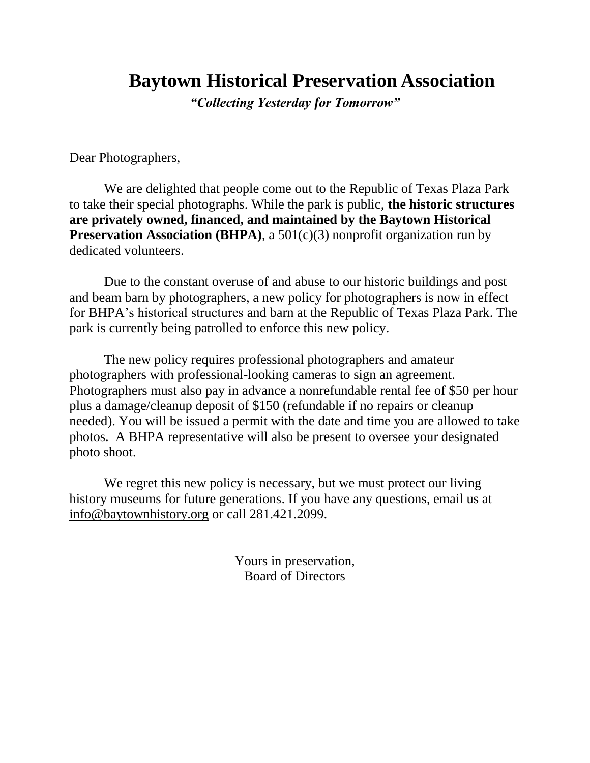## **Baytown Historical Preservation Association**

*"Collecting Yesterday for Tomorrow"*

Dear Photographers,

We are delighted that people come out to the Republic of Texas Plaza Park to take their special photographs. While the park is public, **the historic structures are privately owned, financed, and maintained by the Baytown Historical Preservation Association (BHPA)**, a 501(c)(3) nonprofit organization run by dedicated volunteers.

Due to the constant overuse of and abuse to our historic buildings and post and beam barn by photographers, a new policy for photographers is now in effect for BHPA's historical structures and barn at the Republic of Texas Plaza Park. The park is currently being patrolled to enforce this new policy.

The new policy requires professional photographers and amateur photographers with professional-looking cameras to sign an agreement. Photographers must also pay in advance a nonrefundable rental fee of \$50 per hour plus a damage/cleanup deposit of \$150 (refundable if no repairs or cleanup needed). You will be issued a permit with the date and time you are allowed to take photos. A BHPA representative will also be present to oversee your designated photo shoot.

We regret this new policy is necessary, but we must protect our living history museums for future generations. If you have any questions, email us at [info@baytownhistory.org](mailto:info@baytownhistory.org) or call 281.421.2099.

> Yours in preservation, Board of Directors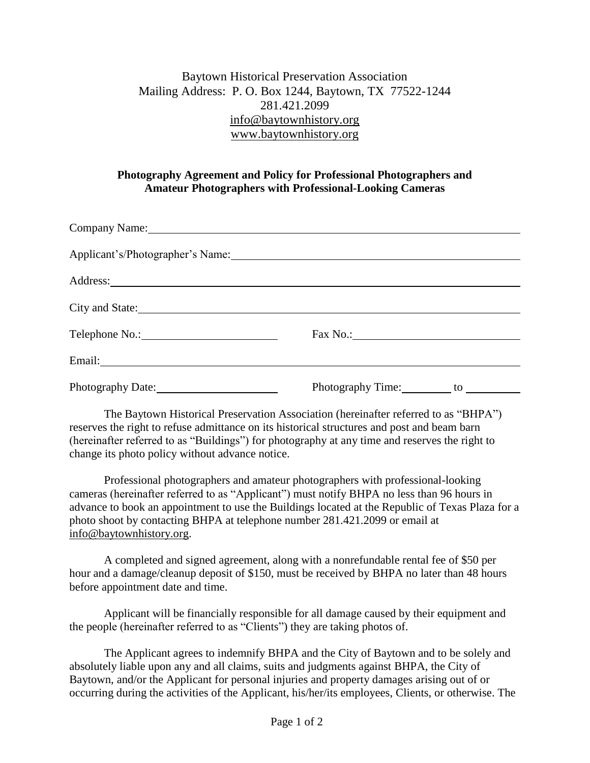## Baytown Historical Preservation Association Mailing Address: P. O. Box 1244, Baytown, TX 77522-1244 281.421.2099 [info@baytownhistory.org](mailto:info@baytownhistory.org) [www.baytownhistory.org](http://www.baytownhistory.org/)

## **Photography Agreement and Policy for Professional Photographers and Amateur Photographers with Professional-Looking Cameras**

| Company Name: 1988                                                                                             |                                     |
|----------------------------------------------------------------------------------------------------------------|-------------------------------------|
| Applicant's/Photographer's Name: 1997 Manual Manual Manual Manual Manual Manual Manual Manual Manual Manual Ma |                                     |
|                                                                                                                |                                     |
| City and State:                                                                                                |                                     |
|                                                                                                                |                                     |
|                                                                                                                |                                     |
| Photography Date:                                                                                              | Photography Time:<br>$\frac{10}{2}$ |

The Baytown Historical Preservation Association (hereinafter referred to as "BHPA") reserves the right to refuse admittance on its historical structures and post and beam barn (hereinafter referred to as "Buildings") for photography at any time and reserves the right to change its photo policy without advance notice.

Professional photographers and amateur photographers with professional-looking cameras (hereinafter referred to as "Applicant") must notify BHPA no less than 96 hours in advance to book an appointment to use the Buildings located at the Republic of Texas Plaza for a photo shoot by contacting BHPA at telephone number 281.421.2099 or email at [info@baytownhistory.org.](mailto:info@baytownhistory.org)

A completed and signed agreement, along with a nonrefundable rental fee of \$50 per hour and a damage/cleanup deposit of \$150, must be received by BHPA no later than 48 hours before appointment date and time.

Applicant will be financially responsible for all damage caused by their equipment and the people (hereinafter referred to as "Clients") they are taking photos of.

The Applicant agrees to indemnify BHPA and the City of Baytown and to be solely and absolutely liable upon any and all claims, suits and judgments against BHPA, the City of Baytown, and/or the Applicant for personal injuries and property damages arising out of or occurring during the activities of the Applicant, his/her/its employees, Clients, or otherwise. The